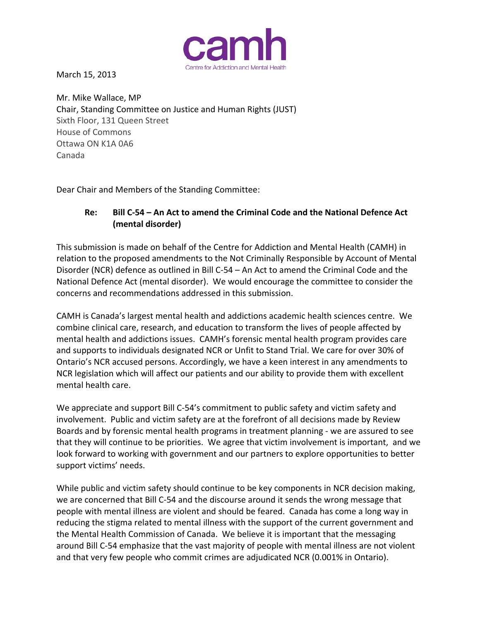

March 15, 2013

Mr. Mike Wallace, MP Chair, Standing Committee on Justice and Human Rights (JUST) Sixth Floor, 131 Queen Street House of Commons Ottawa ON K1A 0A6 Canada

Dear Chair and Members of the Standing Committee:

# **Re: Bill C‐54 – An Act to amend the Criminal Code and the National Defence Act (mental disorder)**

This submission is made on behalf of the Centre for Addiction and Mental Health (CAMH) in relation to the proposed amendments to the Not Criminally Responsible by Account of Mental Disorder (NCR) defence as outlined in Bill C‐54 – An Act to amend the Criminal Code and the National Defence Act (mental disorder). We would encourage the committee to consider the concerns and recommendations addressed in this submission.

CAMH is Canada's largest mental health and addictions academic health sciences centre. We combine clinical care, research, and education to transform the lives of people affected by mental health and addictions issues. CAMH's forensic mental health program provides care and supports to individuals designated NCR or Unfit to Stand Trial. We care for over 30% of Ontario's NCR accused persons. Accordingly, we have a keen interest in any amendments to NCR legislation which will affect our patients and our ability to provide them with excellent mental health care.

We appreciate and support Bill C-54's commitment to public safety and victim safety and involvement. Public and victim safety are at the forefront of all decisions made by Review Boards and by forensic mental health programs in treatment planning ‐ we are assured to see that they will continue to be priorities. We agree that victim involvement is important, and we look forward to working with government and our partners to explore opportunities to better support victims' needs.

While public and victim safety should continue to be key components in NCR decision making, we are concerned that Bill C-54 and the discourse around it sends the wrong message that people with mental illness are violent and should be feared. Canada has come a long way in reducing the stigma related to mental illness with the support of the current government and the Mental Health Commission of Canada. We believe it is important that the messaging around Bill C‐54 emphasize that the vast majority of people with mental illness are not violent and that very few people who commit crimes are adjudicated NCR (0.001% in Ontario).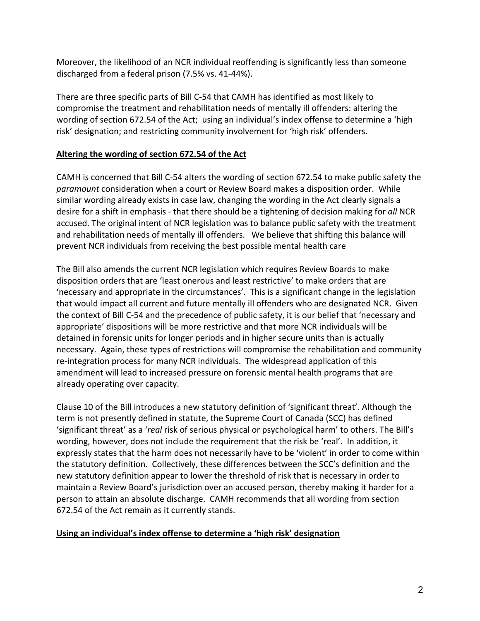Moreover, the likelihood of an NCR individual reoffending is significantly less than someone discharged from a federal prison (7.5% vs. 41‐44%).

There are three specific parts of Bill C‐54 that CAMH has identified as most likely to compromise the treatment and rehabilitation needs of mentally ill offenders: altering the wording of section 672.54 of the Act; using an individual's index offense to determine a 'high risk' designation; and restricting community involvement for 'high risk' offenders.

## **Altering the wording of section 672.54 of the Act**

CAMH is concerned that Bill C‐54 alters the wording of section 672.54 to make public safety the *paramount* consideration when a court or Review Board makes a disposition order. While similar wording already exists in case law, changing the wording in the Act clearly signals a desire for a shift in emphasis ‐ that there should be a tightening of decision making for *all* NCR accused. The original intent of NCR legislation was to balance public safety with the treatment and rehabilitation needs of mentally ill offenders. We believe that shifting this balance will prevent NCR individuals from receiving the best possible mental health care

The Bill also amends the current NCR legislation which requires Review Boards to make disposition orders that are 'least onerous and least restrictive' to make orders that are 'necessary and appropriate in the circumstances'. This is a significant change in the legislation that would impact all current and future mentally ill offenders who are designated NCR. Given the context of Bill C‐54 and the precedence of public safety, it is our belief that 'necessary and appropriate' dispositions will be more restrictive and that more NCR individuals will be detained in forensic units for longer periods and in higher secure units than is actually necessary. Again, these types of restrictions will compromise the rehabilitation and community re-integration process for many NCR individuals. The widespread application of this amendment will lead to increased pressure on forensic mental health programs that are already operating over capacity.

Clause 10 of the Bill introduces a new statutory definition of 'significant threat'. Although the term is not presently defined in statute, the Supreme Court of Canada (SCC) has defined 'significant threat' as a '*real* risk of serious physical or psychological harm' to others. The Bill's wording, however, does not include the requirement that the risk be 'real'. In addition, it expressly states that the harm does not necessarily have to be 'violent' in order to come within the statutory definition. Collectively, these differences between the SCC's definition and the new statutory definition appear to lower the threshold of risk that is necessary in order to maintain a Review Board's jurisdiction over an accused person, thereby making it harder for a person to attain an absolute discharge. CAMH recommends that all wording from section 672.54 of the Act remain as it currently stands.

### **Using an individual's index offense to determine a 'high risk' designation**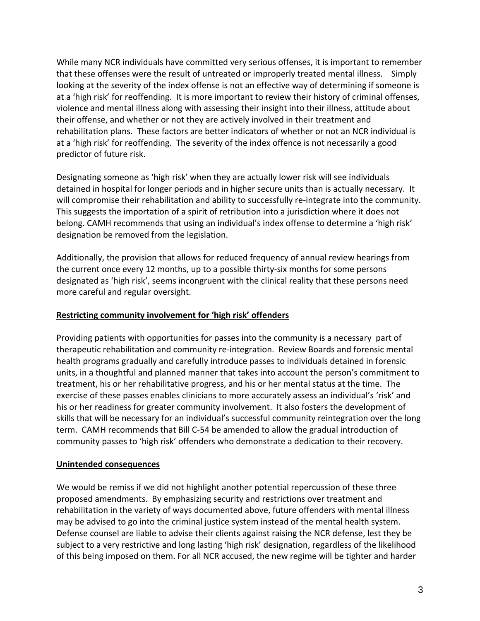While many NCR individuals have committed very serious offenses, it is important to remember that these offenses were the result of untreated or improperly treated mental illness. Simply looking at the severity of the index offense is not an effective way of determining if someone is at a 'high risk' for reoffending. It is more important to review their history of criminal offenses, violence and mental illness along with assessing their insight into their illness, attitude about their offense, and whether or not they are actively involved in their treatment and rehabilitation plans. These factors are better indicators of whether or not an NCR individual is at a 'high risk' for reoffending. The severity of the index offence is not necessarily a good predictor of future risk.

Designating someone as 'high risk' when they are actually lower risk will see individuals detained in hospital for longer periods and in higher secure units than is actually necessary. It will compromise their rehabilitation and ability to successfully re-integrate into the community. This suggests the importation of a spirit of retribution into a jurisdiction where it does not belong. CAMH recommends that using an individual's index offense to determine a 'high risk' designation be removed from the legislation.

Additionally, the provision that allows for reduced frequency of annual review hearings from the current once every 12 months, up to a possible thirty-six months for some persons designated as 'high risk', seems incongruent with the clinical reality that these persons need more careful and regular oversight.

### **Restricting community involvement for 'high risk' offenders**

Providing patients with opportunities for passes into the community is a necessary part of therapeutic rehabilitation and community re‐integration. Review Boards and forensic mental health programs gradually and carefully introduce passes to individuals detained in forensic units, in a thoughtful and planned manner that takes into account the person's commitment to treatment, his or her rehabilitative progress, and his or her mental status at the time. The exercise of these passes enables clinicians to more accurately assess an individual's 'risk' and his or her readiness for greater community involvement. It also fosters the development of skills that will be necessary for an individual's successful community reintegration over the long term. CAMH recommends that Bill C‐54 be amended to allow the gradual introduction of community passes to 'high risk' offenders who demonstrate a dedication to their recovery.

#### **Unintended consequences**

We would be remiss if we did not highlight another potential repercussion of these three proposed amendments. By emphasizing security and restrictions over treatment and rehabilitation in the variety of ways documented above, future offenders with mental illness may be advised to go into the criminal justice system instead of the mental health system. Defense counsel are liable to advise their clients against raising the NCR defense, lest they be subject to a very restrictive and long lasting 'high risk' designation, regardless of the likelihood of this being imposed on them. For all NCR accused, the new regime will be tighter and harder